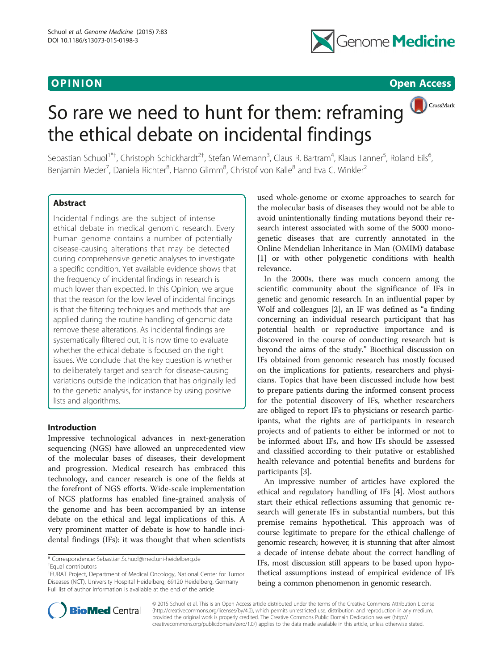

**OPINION** CONSULTANT CONTINUES IN THE CONSULTANT OF CONSULTANT CONTINUES IN THE CONSULTANT OPEN ACCESS OF CONSULTANT CONTINUES IN THE CONSULTANT OF CONSULTANT OF CONSULTANT OF CONSULTANT CONTINUES IN THE CONSULTANT OF CONS

CrossMark

# So rare we need to hunt for them: reframing the ethical debate on incidental findings

Sebastian Schuol<sup>1\*†</sup>, Christoph Schickhardt<sup>2†</sup>, Stefan Wiemann<sup>3</sup>, Claus R. Bartram<sup>4</sup>, Klaus Tanner<sup>5</sup>, Roland Eils<sup>6</sup> , Benjamin Meder<sup>7</sup>, Daniela Richter<sup>8</sup>, Hanno Glimm<sup>8</sup>, Christof von Kalle<sup>8</sup> and Eva C. Winkler<sup>2</sup>

# Abstract

Incidental findings are the subject of intense ethical debate in medical genomic research. Every human genome contains a number of potentially disease-causing alterations that may be detected during comprehensive genetic analyses to investigate a specific condition. Yet available evidence shows that the frequency of incidental findings in research is much lower than expected. In this Opinion, we argue that the reason for the low level of incidental findings is that the filtering techniques and methods that are applied during the routine handling of genomic data remove these alterations. As incidental findings are systematically filtered out, it is now time to evaluate whether the ethical debate is focused on the right issues. We conclude that the key question is whether to deliberately target and search for disease-causing variations outside the indication that has originally led to the genetic analysis, for instance by using positive lists and algorithms.

# Introduction

Impressive technological advances in next-generation sequencing (NGS) have allowed an unprecedented view of the molecular bases of diseases, their development and progression. Medical research has embraced this technology, and cancer research is one of the fields at the forefront of NGS efforts. Wide-scale implementation of NGS platforms has enabled fine-grained analysis of the genome and has been accompanied by an intense debate on the ethical and legal implications of this. A very prominent matter of debate is how to handle incidental findings (IFs): it was thought that when scientists

\* Correspondence: [Sebastian.Schuol@med.uni-heidelberg.de](mailto:Sebastian.Schuol@med.uni-heidelberg.de) †

used whole-genome or exome approaches to search for the molecular basis of diseases they would not be able to avoid unintentionally finding mutations beyond their research interest associated with some of the 5000 monogenetic diseases that are currently annotated in the Online Mendelian Inheritance in Man (OMIM) database [[1\]](#page-5-0) or with other polygenetic conditions with health relevance.

In the 2000s, there was much concern among the scientific community about the significance of IFs in genetic and genomic research. In an influential paper by Wolf and colleagues [\[2](#page-5-0)], an IF was defined as "a finding concerning an individual research participant that has potential health or reproductive importance and is discovered in the course of conducting research but is beyond the aims of the study." Bioethical discussion on IFs obtained from genomic research has mostly focused on the implications for patients, researchers and physicians. Topics that have been discussed include how best to prepare patients during the informed consent process for the potential discovery of IFs, whether researchers are obliged to report IFs to physicians or research participants, what the rights are of participants in research projects and of patients to either be informed or not to be informed about IFs, and how IFs should be assessed and classified according to their putative or established health relevance and potential benefits and burdens for participants [[3\]](#page-5-0).

An impressive number of articles have explored the ethical and regulatory handling of IFs [[4\]](#page-5-0). Most authors start their ethical reflections assuming that genomic research will generate IFs in substantial numbers, but this premise remains hypothetical. This approach was of course legitimate to prepare for the ethical challenge of genomic research; however, it is stunning that after almost a decade of intense debate about the correct handling of IFs, most discussion still appears to be based upon hypothetical assumptions instead of empirical evidence of IFs being a common phenomenon in genomic research.



© 2015 Schuol et al. This is an Open Access article distributed under the terms of the Creative Commons Attribution License [\(http://creativecommons.org/licenses/by/4.0\)](http://creativecommons.org/licenses/by/4.0), which permits unrestricted use, distribution, and reproduction in any medium, provided the original work is properly credited. The Creative Commons Public Domain Dedication waiver [\(http://](http://creativecommons.org/publicdomain/zero/1.0/) [creativecommons.org/publicdomain/zero/1.0/\)](http://creativecommons.org/publicdomain/zero/1.0/) applies to the data made available in this article, unless otherwise stated.

Equal contributors

<sup>&</sup>lt;sup>1</sup>EURAT Project, Department of Medical Oncology, National Center for Tumor Diseases (NCT), University Hospital Heidelberg, 69120 Heidelberg, Germany Full list of author information is available at the end of the article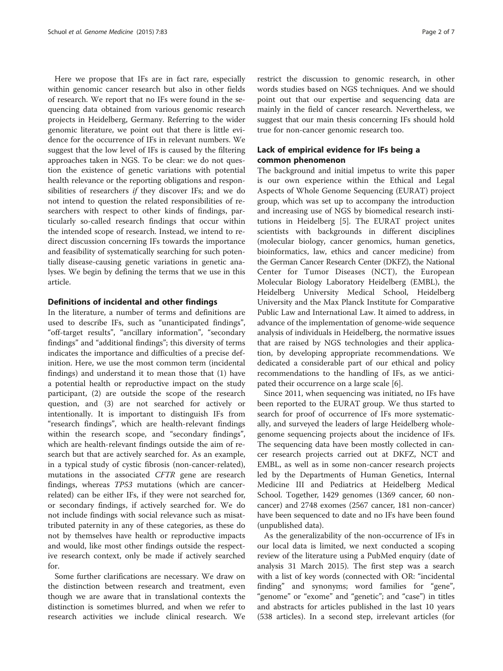Here we propose that IFs are in fact rare, especially within genomic cancer research but also in other fields of research. We report that no IFs were found in the sequencing data obtained from various genomic research projects in Heidelberg, Germany. Referring to the wider genomic literature, we point out that there is little evidence for the occurrence of IFs in relevant numbers. We suggest that the low level of IFs is caused by the filtering approaches taken in NGS. To be clear: we do not question the existence of genetic variations with potential health relevance or the reporting obligations and responsibilities of researchers if they discover IFs; and we do not intend to question the related responsibilities of researchers with respect to other kinds of findings, particularly so-called research findings that occur within the intended scope of research. Instead, we intend to redirect discussion concerning IFs towards the importance and feasibility of systematically searching for such potentially disease-causing genetic variations in genetic analyses. We begin by defining the terms that we use in this article.

# Definitions of incidental and other findings

In the literature, a number of terms and definitions are used to describe IFs, such as "unanticipated findings", "off-target results", "ancillary information", "secondary findings" and "additional findings"; this diversity of terms indicates the importance and difficulties of a precise definition. Here, we use the most common term (incidental findings) and understand it to mean those that (1) have a potential health or reproductive impact on the study participant, (2) are outside the scope of the research question, and (3) are not searched for actively or intentionally. It is important to distinguish IFs from "research findings", which are health-relevant findings within the research scope, and "secondary findings", which are health-relevant findings outside the aim of research but that are actively searched for. As an example, in a typical study of cystic fibrosis (non-cancer-related), mutations in the associated CFTR gene are research findings, whereas TP53 mutations (which are cancerrelated) can be either IFs, if they were not searched for, or secondary findings, if actively searched for. We do not include findings with social relevance such as misattributed paternity in any of these categories, as these do not by themselves have health or reproductive impacts and would, like most other findings outside the respective research context, only be made if actively searched for.

Some further clarifications are necessary. We draw on the distinction between research and treatment, even though we are aware that in translational contexts the distinction is sometimes blurred, and when we refer to research activities we include clinical research. We

restrict the discussion to genomic research, in other words studies based on NGS techniques. And we should point out that our expertise and sequencing data are mainly in the field of cancer research. Nevertheless, we suggest that our main thesis concerning IFs should hold true for non-cancer genomic research too.

# Lack of empirical evidence for IFs being a common phenomenon

The background and initial impetus to write this paper is our own experience within the Ethical and Legal Aspects of Whole Genome Sequencing (EURAT) project group, which was set up to accompany the introduction and increasing use of NGS by biomedical research institutions in Heidelberg [\[5](#page-5-0)]. The EURAT project unites scientists with backgrounds in different disciplines (molecular biology, cancer genomics, human genetics, bioinformatics, law, ethics and cancer medicine) from the German Cancer Research Center (DKFZ), the National Center for Tumor Diseases (NCT), the European Molecular Biology Laboratory Heidelberg (EMBL), the Heidelberg University Medical School, Heidelberg University and the Max Planck Institute for Comparative Public Law and International Law. It aimed to address, in advance of the implementation of genome-wide sequence analysis of individuals in Heidelberg, the normative issues that are raised by NGS technologies and their application, by developing appropriate recommendations. We dedicated a considerable part of our ethical and policy recommendations to the handling of IFs, as we anticipated their occurrence on a large scale [[6\]](#page-5-0).

Since 2011, when sequencing was initiated, no IFs have been reported to the EURAT group. We thus started to search for proof of occurrence of IFs more systematically, and surveyed the leaders of large Heidelberg wholegenome sequencing projects about the incidence of IFs. The sequencing data have been mostly collected in cancer research projects carried out at DKFZ, NCT and EMBL, as well as in some non-cancer research projects led by the Departments of Human Genetics, Internal Medicine III and Pediatrics at Heidelberg Medical School. Together, 1429 genomes (1369 cancer, 60 noncancer) and 2748 exomes (2567 cancer, 181 non-cancer) have been sequenced to date and no IFs have been found (unpublished data).

As the generalizability of the non-occurrence of IFs in our local data is limited, we next conducted a scoping review of the literature using a PubMed enquiry (date of analysis 31 March 2015). The first step was a search with a list of key words (connected with OR: "incidental finding" and synonyms; word families for "gene", "genome" or "exome" and "genetic"; and "case") in titles and abstracts for articles published in the last 10 years (538 articles). In a second step, irrelevant articles (for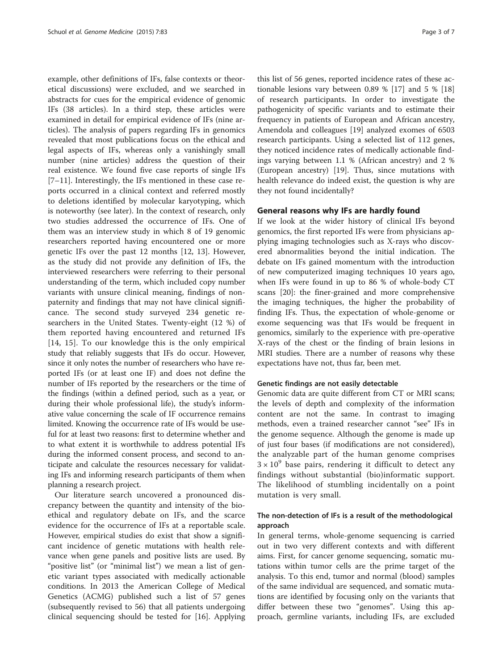example, other definitions of IFs, false contexts or theoretical discussions) were excluded, and we searched in abstracts for cues for the empirical evidence of genomic IFs (38 articles). In a third step, these articles were examined in detail for empirical evidence of IFs (nine articles). The analysis of papers regarding IFs in genomics revealed that most publications focus on the ethical and legal aspects of IFs, whereas only a vanishingly small number (nine articles) address the question of their real existence. We found five case reports of single IFs [[7](#page-5-0)–[11\]](#page-5-0). Interestingly, the IFs mentioned in these case reports occurred in a clinical context and referred mostly to deletions identified by molecular karyotyping, which is noteworthy (see later). In the context of research, only two studies addressed the occurrence of IFs. One of them was an interview study in which 8 of 19 genomic researchers reported having encountered one or more genetic IFs over the past 12 months [\[12](#page-5-0), [13](#page-5-0)]. However, as the study did not provide any definition of IFs, the interviewed researchers were referring to their personal understanding of the term, which included copy number variants with unsure clinical meaning, findings of nonpaternity and findings that may not have clinical significance. The second study surveyed 234 genetic researchers in the United States. Twenty-eight (12 %) of them reported having encountered and returned IFs [[14](#page-5-0), [15\]](#page-5-0). To our knowledge this is the only empirical study that reliably suggests that IFs do occur. However, since it only notes the number of researchers who have reported IFs (or at least one IF) and does not define the number of IFs reported by the researchers or the time of the findings (within a defined period, such as a year, or during their whole professional life), the study's informative value concerning the scale of IF occurrence remains limited. Knowing the occurrence rate of IFs would be useful for at least two reasons: first to determine whether and to what extent it is worthwhile to address potential IFs during the informed consent process, and second to anticipate and calculate the resources necessary for validating IFs and informing research participants of them when planning a research project.

Our literature search uncovered a pronounced discrepancy between the quantity and intensity of the bioethical and regulatory debate on IFs, and the scarce evidence for the occurrence of IFs at a reportable scale. However, empirical studies do exist that show a significant incidence of genetic mutations with health relevance when gene panels and positive lists are used. By "positive list" (or "minimal list") we mean a list of genetic variant types associated with medically actionable conditions. In 2013 the American College of Medical Genetics (ACMG) published such a list of 57 genes (subsequently revised to 56) that all patients undergoing clinical sequencing should be tested for [[16\]](#page-5-0). Applying this list of 56 genes, reported incidence rates of these actionable lesions vary between 0.89 % [[17](#page-5-0)] and 5 % [[18](#page-5-0)] of research participants. In order to investigate the pathogenicity of specific variants and to estimate their frequency in patients of European and African ancestry, Amendola and colleagues [[19\]](#page-5-0) analyzed exomes of 6503 research participants. Using a selected list of 112 genes, they noticed incidence rates of medically actionable findings varying between 1.1 % (African ancestry) and 2 % (European ancestry) [\[19\]](#page-5-0). Thus, since mutations with health relevance do indeed exist, the question is why are they not found incidentally?

### General reasons why IFs are hardly found

If we look at the wider history of clinical IFs beyond genomics, the first reported IFs were from physicians applying imaging technologies such as X-rays who discovered abnormalities beyond the initial indication. The debate on IFs gained momentum with the introduction of new computerized imaging techniques 10 years ago, when IFs were found in up to 86 % of whole-body CT scans [[20\]](#page-5-0): the finer-grained and more comprehensive the imaging techniques, the higher the probability of finding IFs. Thus, the expectation of whole-genome or exome sequencing was that IFs would be frequent in genomics, similarly to the experience with pre-operative X-rays of the chest or the finding of brain lesions in MRI studies. There are a number of reasons why these expectations have not, thus far, been met.

#### Genetic findings are not easily detectable

Genomic data are quite different from CT or MRI scans; the levels of depth and complexity of the information content are not the same. In contrast to imaging methods, even a trained researcher cannot "see" IFs in the genome sequence. Although the genome is made up of just four bases (if modifications are not considered), the analyzable part of the human genome comprises  $3 \times 10^9$  base pairs, rendering it difficult to detect any findings without substantial (bio)informatic support. The likelihood of stumbling incidentally on a point mutation is very small.

# The non-detection of IFs is a result of the methodological approach

In general terms, whole-genome sequencing is carried out in two very different contexts and with different aims. First, for cancer genome sequencing, somatic mutations within tumor cells are the prime target of the analysis. To this end, tumor and normal (blood) samples of the same individual are sequenced, and somatic mutations are identified by focusing only on the variants that differ between these two "genomes". Using this approach, germline variants, including IFs, are excluded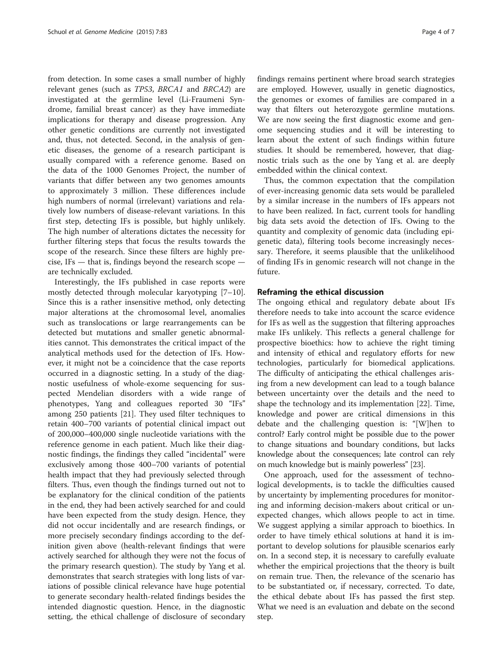from detection. In some cases a small number of highly relevant genes (such as TP53, BRCA1 and BRCA2) are investigated at the germline level (Li-Fraumeni Syndrome, familial breast cancer) as they have immediate implications for therapy and disease progression. Any other genetic conditions are currently not investigated and, thus, not detected. Second, in the analysis of genetic diseases, the genome of a research participant is usually compared with a reference genome. Based on the data of the 1000 Genomes Project, the number of variants that differ between any two genomes amounts to approximately 3 million. These differences include high numbers of normal (irrelevant) variations and relatively low numbers of disease-relevant variations. In this first step, detecting IFs is possible, but highly unlikely. The high number of alterations dictates the necessity for further filtering steps that focus the results towards the scope of the research. Since these filters are highly precise, IFs — that is, findings beyond the research scope are technically excluded.

Interestingly, the IFs published in case reports were mostly detected through molecular karyotyping [[7](#page-5-0)–[10](#page-5-0)]. Since this is a rather insensitive method, only detecting major alterations at the chromosomal level, anomalies such as translocations or large rearrangements can be detected but mutations and smaller genetic abnormalities cannot. This demonstrates the critical impact of the analytical methods used for the detection of IFs. However, it might not be a coincidence that the case reports occurred in a diagnostic setting. In a study of the diagnostic usefulness of whole-exome sequencing for suspected Mendelian disorders with a wide range of phenotypes, Yang and colleagues reported 30 "IFs" among 250 patients [[21\]](#page-5-0). They used filter techniques to retain 400–700 variants of potential clinical impact out of 200,000–400,000 single nucleotide variations with the reference genome in each patient. Much like their diagnostic findings, the findings they called "incidental" were exclusively among those 400–700 variants of potential health impact that they had previously selected through filters. Thus, even though the findings turned out not to be explanatory for the clinical condition of the patients in the end, they had been actively searched for and could have been expected from the study design. Hence, they did not occur incidentally and are research findings, or more precisely secondary findings according to the definition given above (health-relevant findings that were actively searched for although they were not the focus of the primary research question). The study by Yang et al. demonstrates that search strategies with long lists of variations of possible clinical relevance have huge potential to generate secondary health-related findings besides the intended diagnostic question. Hence, in the diagnostic setting, the ethical challenge of disclosure of secondary findings remains pertinent where broad search strategies are employed. However, usually in genetic diagnostics, the genomes or exomes of families are compared in a way that filters out heterozygote germline mutations. We are now seeing the first diagnostic exome and genome sequencing studies and it will be interesting to learn about the extent of such findings within future studies. It should be remembered, however, that diagnostic trials such as the one by Yang et al. are deeply embedded within the clinical context.

Thus, the common expectation that the compilation of ever-increasing genomic data sets would be paralleled by a similar increase in the numbers of IFs appears not to have been realized. In fact, current tools for handling big data sets avoid the detection of IFs. Owing to the quantity and complexity of genomic data (including epigenetic data), filtering tools become increasingly necessary. Therefore, it seems plausible that the unlikelihood of finding IFs in genomic research will not change in the future.

# Reframing the ethical discussion

The ongoing ethical and regulatory debate about IFs therefore needs to take into account the scarce evidence for IFs as well as the suggestion that filtering approaches make IFs unlikely. This reflects a general challenge for prospective bioethics: how to achieve the right timing and intensity of ethical and regulatory efforts for new technologies, particularly for biomedical applications. The difficulty of anticipating the ethical challenges arising from a new development can lead to a tough balance between uncertainty over the details and the need to shape the technology and its implementation [[22](#page-5-0)]. Time, knowledge and power are critical dimensions in this debate and the challenging question is: "[W]hen to control? Early control might be possible due to the power to change situations and boundary conditions, but lacks knowledge about the consequences; late control can rely on much knowledge but is mainly powerless" [\[23\]](#page-5-0).

One approach, used for the assessment of technological developments, is to tackle the difficulties caused by uncertainty by implementing procedures for monitoring and informing decision-makers about critical or unexpected changes, which allows people to act in time. We suggest applying a similar approach to bioethics. In order to have timely ethical solutions at hand it is important to develop solutions for plausible scenarios early on. In a second step, it is necessary to carefully evaluate whether the empirical projections that the theory is built on remain true. Then, the relevance of the scenario has to be substantiated or, if necessary, corrected. To date, the ethical debate about IFs has passed the first step. What we need is an evaluation and debate on the second step.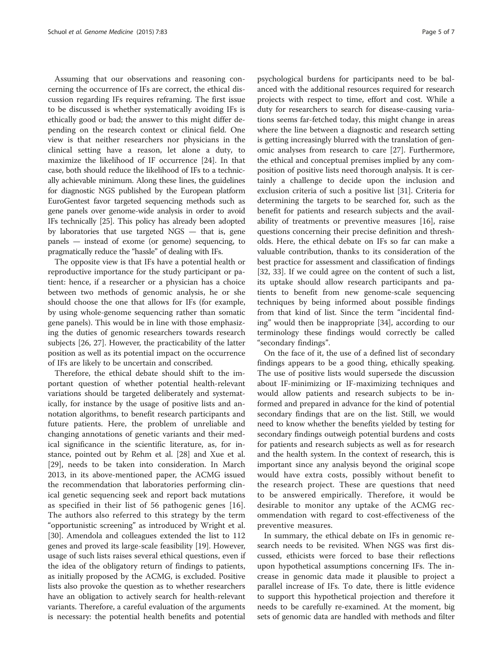Assuming that our observations and reasoning concerning the occurrence of IFs are correct, the ethical discussion regarding IFs requires reframing. The first issue to be discussed is whether systematically avoiding IFs is ethically good or bad; the answer to this might differ depending on the research context or clinical field. One view is that neither researchers nor physicians in the clinical setting have a reason, let alone a duty, to maximize the likelihood of IF occurrence [[24](#page-5-0)]. In that case, both should reduce the likelihood of IFs to a technically achievable minimum. Along these lines, the guidelines for diagnostic NGS published by the European platform EuroGentest favor targeted sequencing methods such as gene panels over genome-wide analysis in order to avoid IFs technically [\[25](#page-5-0)]. This policy has already been adopted by laboratories that use targeted NGS — that is, gene panels — instead of exome (or genome) sequencing, to pragmatically reduce the "hassle" of dealing with IFs.

The opposite view is that IFs have a potential health or reproductive importance for the study participant or patient: hence, if a researcher or a physician has a choice between two methods of genomic analysis, he or she should choose the one that allows for IFs (for example, by using whole-genome sequencing rather than somatic gene panels). This would be in line with those emphasizing the duties of genomic researchers towards research subjects [[26](#page-5-0), [27\]](#page-5-0). However, the practicability of the latter position as well as its potential impact on the occurrence of IFs are likely to be uncertain and conscribed.

Therefore, the ethical debate should shift to the important question of whether potential health-relevant variations should be targeted deliberately and systematically, for instance by the usage of positive lists and annotation algorithms, to benefit research participants and future patients. Here, the problem of unreliable and changing annotations of genetic variants and their medical significance in the scientific literature, as, for instance, pointed out by Rehm et al. [\[28](#page-5-0)] and Xue et al. [[29\]](#page-5-0), needs to be taken into consideration. In March 2013, in its above-mentioned paper, the ACMG issued the recommendation that laboratories performing clinical genetic sequencing seek and report back mutations as specified in their list of 56 pathogenic genes [[16](#page-5-0)]. The authors also referred to this strategy by the term "opportunistic screening" as introduced by Wright et al. [[30\]](#page-5-0). Amendola and colleagues extended the list to 112 genes and proved its large-scale feasibility [\[19](#page-5-0)]. However, usage of such lists raises several ethical questions, even if the idea of the obligatory return of findings to patients, as initially proposed by the ACMG, is excluded. Positive lists also provoke the question as to whether researchers have an obligation to actively search for health-relevant variants. Therefore, a careful evaluation of the arguments is necessary: the potential health benefits and potential

psychological burdens for participants need to be balanced with the additional resources required for research projects with respect to time, effort and cost. While a duty for researchers to search for disease-causing variations seems far-fetched today, this might change in areas where the line between a diagnostic and research setting is getting increasingly blurred with the translation of genomic analyses from research to care [\[27](#page-5-0)]. Furthermore, the ethical and conceptual premises implied by any composition of positive lists need thorough analysis. It is certainly a challenge to decide upon the inclusion and exclusion criteria of such a positive list [[31\]](#page-6-0). Criteria for determining the targets to be searched for, such as the benefit for patients and research subjects and the availability of treatments or preventive measures [\[16\]](#page-5-0), raise questions concerning their precise definition and thresholds. Here, the ethical debate on IFs so far can make a valuable contribution, thanks to its consideration of the best practice for assessment and classification of findings [[32, 33](#page-6-0)]. If we could agree on the content of such a list, its uptake should allow research participants and patients to benefit from new genome-scale sequencing techniques by being informed about possible findings from that kind of list. Since the term "incidental finding" would then be inappropriate [\[34](#page-6-0)], according to our terminology these findings would correctly be called "secondary findings".

On the face of it, the use of a defined list of secondary findings appears to be a good thing, ethically speaking. The use of positive lists would supersede the discussion about IF-minimizing or IF-maximizing techniques and would allow patients and research subjects to be informed and prepared in advance for the kind of potential secondary findings that are on the list. Still, we would need to know whether the benefits yielded by testing for secondary findings outweigh potential burdens and costs for patients and research subjects as well as for research and the health system. In the context of research, this is important since any analysis beyond the original scope would have extra costs, possibly without benefit to the research project. These are questions that need to be answered empirically. Therefore, it would be desirable to monitor any uptake of the ACMG recommendation with regard to cost-effectiveness of the preventive measures.

In summary, the ethical debate on IFs in genomic research needs to be revisited. When NGS was first discussed, ethicists were forced to base their reflections upon hypothetical assumptions concerning IFs. The increase in genomic data made it plausible to project a parallel increase of IFs. To date, there is little evidence to support this hypothetical projection and therefore it needs to be carefully re-examined. At the moment, big sets of genomic data are handled with methods and filter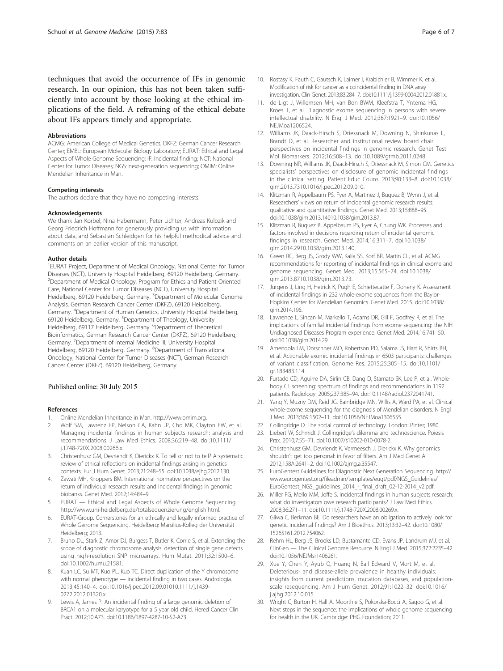<span id="page-5-0"></span>techniques that avoid the occurrence of IFs in genomic research. In our opinion, this has not been taken sufficiently into account by those looking at the ethical implications of the field. A reframing of the ethical debate about IFs appears timely and appropriate.

#### Abbreviations

ACMG: American College of Medical Genetics; DKFZ: German Cancer Research Center; EMBL: European Molecular Biology Laboratory; EURAT: Ethical and Legal Aspects of Whole Genome Sequencing; IF: Incidental finding; NCT: National Center for Tumor Diseases; NGS: next-generation sequencing; OMIM: Online Mendelian Inheritance in Man.

# Competing interests

The authors declare that they have no competing interests.

#### Acknowledgements

We thank Jan Korbel, Nina Habermann, Peter Lichter, Andreas Kulozik and Georg Friedrich Hoffmann for generously providing us with information about data, and Sebastian Schleidgen for his helpful methodical advice and comments on an earlier version of this manuscript.

#### Author details

<sup>1</sup>EURAT Project, Department of Medical Oncology, National Center for Tumor Diseases (NCT), University Hospital Heidelberg, 69120 Heidelberg, Germany. <sup>2</sup> Department of Medical Oncology, Program for Ethics and Patient Oriented Care, National Center for Tumor Diseases (NCT), University Hospital Heidelberg, 69120 Heidelberg, Germany. <sup>3</sup>Department of Molecular Genome Analysis, German Research Cancer Center (DKFZ), 69120 Heidelberg, Germany. <sup>4</sup>Department of Human Genetics, University Hospital Heidelberg, 69120 Heidelberg, Germany. <sup>5</sup>Department of Theology, University Heidelberg, 69117 Heidelberg, Germany. <sup>6</sup>Department of Theoretical Bioinformatics, German Research Cancer Center (DKFZ), 69120 Heidelberg, Germany. <sup>7</sup>Department of Internal Medicine III, University Hospital Heidelberg, 69120 Heidelberg, Germany. <sup>8</sup>Department of Translational Oncology, National Center for Tumor Diseases (NCT), German Research Cancer Center (DKFZ), 69120 Heidelberg, Germany.

#### Published online: 30 July 2015

#### References

- 1. Online Mendelian Inheritance in Man. [http://www.omim.org.](http://www.omim.org)
- 2. Wolf SM, Lawrenz FP, Nelson CA, Kahn JP, Cho MK, Clayton EW, et al. Managing incidental findings in human subjects research: analysis and recommendations. J Law Med Ethics. 2008;36:219–48. doi:[10.1111/](http://dx.doi.org/10.1111/j.1748-720X.2008.00266.x) [j.1748-720X.2008.00266.x](http://dx.doi.org/10.1111/j.1748-720X.2008.00266.x).
- 3. Christenhusz GM, Devriendt K, Dierickx K. To tell or not to tell? A systematic review of ethical reflections on incidental findings arising in genetics contexts. Eur J Hum Genet. 2013;21:248–55. doi[:10.1038/ejhg.2012.130](http://dx.doi.org/10.1038/ejhg.2012.130).
- 4. Zawati MH, Knoppers BM. International normative perspectives on the return of individual research results and incidental findings in genomic biobanks. Genet Med. 2012;14:484–9.
- 5. EURAT Ethical and Legal Aspects of Whole Genome Sequencing. [http://www.uni-heidelberg.de/totalsequenzierung/english.html.](http://www.uni-heidelberg.de/totalsequenzierung/english.html)
- 6. EURAT-Group. Cornerstones for an ethically and legally informed practice of Whole Genome Sequencing. Heidelberg: Marsilius-Kolleg der Universität Heidelberg; 2013.
- 7. Bruno DL, Stark Z, Amor DJ, Burgess T, Butler K, Corrie S, et al. Extending the scope of diagnostic chromosome analysis: detection of single gene defects using high-resolution SNP microarrays. Hum Mutat. 2011;32:1500–6. doi:[10.1002/humu.21581.](http://dx.doi.org/10.1002/humu.21581)
- Kuan LC, Su MT, Kuo PL, Kuo TC. Direct duplication of the Y chromosome with normal phenotype — incidental finding in two cases. Andrologia. 2013;45:140–4. doi:[10.1016/j.pec.2012.09.01010.1111/j.1439-](http://dx.doi.org/10.1016/j.pec.2012.09.01010.1111/j.1439-0272.2012.01320.x) [0272.2012.01320.x](http://dx.doi.org/10.1016/j.pec.2012.09.01010.1111/j.1439-0272.2012.01320.x).
- Lewis A, James P. An incidental finding of a large genomic deletion of BRCA1 on a molecular karyotype for a 5 year old child. Hered Cancer Clin Pract. 2012;10:A73. doi:[10.1186/1897-4287-10-S2-A73.](http://dx.doi.org/10.1186/1897-4287-10-S2-A73)
- 10. Rostasy K, Fauth C, Gautsch K, Laimer I, Krabichler B, Wimmer K, et al. Modification of risk for cancer as a coincidental finding in DNA array investigation. Clin Genet. 2013;83:284–7. doi[:10.1111/j.1399-0004.2012.01881.x.](http://dx.doi.org/10.1111/j.1399-0004.2012.01881.x)
- 11. de Ligt J, Willemsen MH, van Bon BWM, Kleefstra T, Yntema HG, Kroes T, et al. Diagnostic exome sequencing in persons with severe intellectual disability. N Engl J Med. 2012;367:1921–9. doi:[10.1056/](http://dx.doi.org/10.1056/NEJMoa1206524) [NEJMoa1206524](http://dx.doi.org/10.1056/NEJMoa1206524).
- 12. Williams JK, Daack-Hirsch S, Driessnack M, Downing N, Shinkunas L, Brandt D, et al. Researcher and institutional review board chair perspectives on incidental findings in genomic research. Genet Test Mol Biomarkers. 2012;16:508–13. doi:[10.1089/gtmb.2011.0248.](http://dx.doi.org/10.1089/gtmb.2011.0248)
- 13. Downing NR, Williams JK, Daack-Hirsch S, Driessnack M, Simon CM. Genetics specialists' perspectives on disclosure of genomic incidental findings in the clinical setting. Patient Educ Couns. 2013;90:133–8. doi:[10.1038/](http://dx.doi.org/10.1038/gim.2013.7310.1016/j.pec.2012.09.010) [gim.2013.7310.1016/j.pec.2012.09.010.](http://dx.doi.org/10.1038/gim.2013.7310.1016/j.pec.2012.09.010)
- 14. Klitzman R, Appelbaum PS, Fyer A, Martinez J, Buquez B, Wynn J, et al. Researchers' views on return of incidental genomic research results: qualitative and quantitative findings. Genet Med. 2013;15:888–95. doi[:10.1038/gim.2013.14010.1038/gim.2013.87.](http://dx.doi.org/10.1038/gim.2013.14010.1038/gim.2013.87)
- 15. Klitzman R, Buquez B, Appelbaum PS, Fyer A, Chung WK. Processes and factors involved in decisions regarding return of incidental genomic findings in research. Genet Med. 2014;16:311–7. doi[:10.1038/](http://dx.doi.org/10.1038/gim.2014.2910.1038/gim.2013.140) [gim.2014.2910.1038/gim.2013.140.](http://dx.doi.org/10.1038/gim.2014.2910.1038/gim.2013.140)
- 16. Green RC, Berg JS, Grody WW, Kalia SS, Korf BR, Martin CL, et al. ACMG recommendations for reporting of incidental findings in clinical exome and genome sequencing. Genet Med. 2013;15:565–74. doi:[10.1038/](http://dx.doi.org/10.1038/gim.2013.8710.1038/gim.2013.73) [gim.2013.8710.1038/gim.2013.73](http://dx.doi.org/10.1038/gim.2013.8710.1038/gim.2013.73).
- 17. Jurgens J, Ling H, Hetrick K, Pugh E, Schiettecatte F, Doheny K. Assessment of incidental findings in 232 whole-exome sequences from the Baylor-Hopkins Center for Mendelian Genomics. Genet Med. 2015. doi:[10.1038/](http://dx.doi.org/10.1038/gim.2014.196) [gim.2014.196](http://dx.doi.org/10.1038/gim.2014.196).
- 18. Lawrence L, Sincan M, Markello T, Adams DR, Gill F, Godfrey R, et al. The implications of familial incidental findings from exome sequencing: the NIH Undiagnosed Diseases Program experience. Genet Med. 2014;16:741–50. doi[:10.1038/gim.2014.29](http://dx.doi.org/10.1038/gim.2014.29).
- 19. Amendola LM, Dorschner MO, Robertson PD, Salama JS, Hart R, Shirts BH, et al. Actionable exomic incidental findings in 6503 participants: challenges of variant classification. Genome Res. 2015;25:305–15. doi[:10.1101/](http://dx.doi.org/10.1101/gr.183483.114) [gr.183483.114.](http://dx.doi.org/10.1101/gr.183483.114)
- 20. Furtado CD, Aguirre DA, Sirlin CB, Dang D, Stamato SK, Lee P, et al. Wholebody CT screening: spectrum of findings and recommendations in 1192 patients. Radiology. 2005;237:385–94. doi:[10.1148/radiol.2372041741.](http://dx.doi.org/10.1148/radiol.2372041741)
- 21. Yang Y, Muzny DM, Reid JG, Bainbridge MN, Willis A, Ward PA, et al. Clinical whole-exome sequencing for the diagnosis of Mendelian disorders. N Engl J Med. 2013;369:1502–11. doi[:10.1056/NEJMoa1306555](http://dx.doi.org/10.1056/NEJMoa1306555).
- 22. Collingridge D. The social control of technology. London: Pinter; 1980.
- 23. Liebert W, Schmidt J. Collingridge's dilemma and technoscience. Poiesis Prax. 2010;7:55–71. doi[:10.1007/s10202-010-0078-2.](http://dx.doi.org/10.1007/s10202-010-0078-2)
- 24. Christenhusz GM, Devriendt K, Vermeesch J, Dierickx K. Why genomics shouldn't get too personal: in favor of filters. Am J Med Genet A. 2012;158A:2641–2. doi[:10.1002/ajmg.a.35547](http://dx.doi.org/10.1002/ajmg.a.35547).
- 25. EuroGentest Guidelines for Diagnostic Next Generation Sequencing. [http://](http://www.eurogentest.org/fileadmin/templates/eugt/pdf/NGS_Guidelines/EuroGentest_NGS_guidelines_2014_-_final_draft_02-12-2014_v2.pdf) [www.eurogentest.org/fileadmin/templates/eugt/pdf/NGS\\_Guidelines/](http://www.eurogentest.org/fileadmin/templates/eugt/pdf/NGS_Guidelines/EuroGentest_NGS_guidelines_2014_-_final_draft_02-12-2014_v2.pdf) [EuroGentest\\_NGS\\_guidelines\\_2014\\_-\\_final\\_draft\\_02-12-2014\\_v2.pdf.](http://www.eurogentest.org/fileadmin/templates/eugt/pdf/NGS_Guidelines/EuroGentest_NGS_guidelines_2014_-_final_draft_02-12-2014_v2.pdf)
- 26. Miller FG, Mello MM, Joffe S. Incidental findings in human subjects research: what do investigators owe research participants? J Law Med Ethics. 2008;36:271–11. doi:[10.1111/j.1748-720X.2008.00269.x.](http://dx.doi.org/10.1111/j.1748-720X.2008.00269.x)
- 27. Gliwa C, Berkman BE. Do researchers have an obligation to actively look for genetic incidental findings? Am J Bioethics. 2013;13:32–42. doi:[10.1080/](http://dx.doi.org/10.1080/15265161.2012.754062) [15265161.2012.754062.](http://dx.doi.org/10.1080/15265161.2012.754062)
- 28. Rehm HL, Berg JS, Brooks LD, Bustamante CD, Evans JP, Landrum MJ, et al. ClinGen — The Clinical Genome Resource. N Engl J Med. 2015;372:2235–42. doi[:10.1056/NEJMsr1406261](http://dx.doi.org/10.1056/NEJMsr1406261).
- 29. Xue Y, Chen Y, Ayub Q, Huang N, Ball Edward V, Mort M, et al. Deleterious- and disease-allele prevalence in healthy individuals: insights from current predictions, mutation databases, and populationscale resequencing. Am J Hum Genet. 2012;91:1022–32. doi:[10.1016/](http://dx.doi.org/10.1016/j.ajhg.2012.10.015) [j.ajhg.2012.10.015.](http://dx.doi.org/10.1016/j.ajhg.2012.10.015)
- 30. Wright C, Burton H, Hall A, Moorthie S, Pokorska-Bocci A, Sagoo G, et al. Next steps in the sequence: the implications of whole genome sequencing for health in the UK. Cambridge: PHG Foundation; 2011.